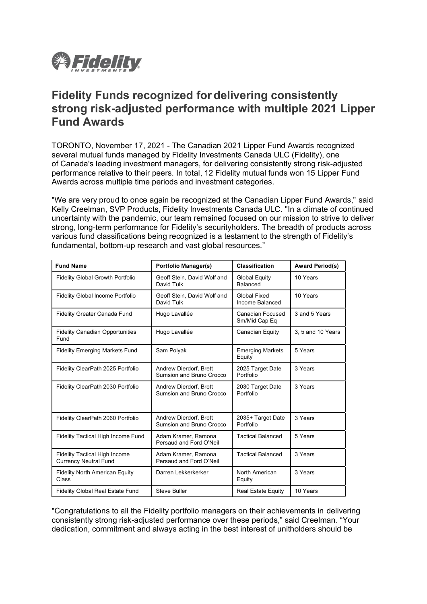

# **Fidelity Funds recognized for delivering consistently strong risk-adjusted performance with multiple 2021 Lipper Fund Awards**

TORONTO, November 17, 2021 - The Canadian 2021 Lipper Fund Awards recognized several mutual funds managed by Fidelity Investments Canada ULC (Fidelity), one of Canada's leading investment managers, for delivering consistently strong risk-adjusted performance relative to their peers. In total, 12 Fidelity mutual funds won 15 Lipper Fund Awards across multiple time periods and investment categories.

"We are very proud to once again be recognized at the Canadian Lipper Fund Awards," said Kelly Creelman, SVP Products, Fidelity Investments Canada ULC. "In a climate of continued uncertainty with the pandemic, our team remained focused on our mission to strive to deliver strong, long-term performance for Fidelity's securityholders. The breadth of products across various fund classifications being recognized is a testament to the strength of Fidelity's fundamental, bottom-up research and vast global resources."

| <b>Fund Name</b>                                                     | <b>Portfolio Manager(s)</b>                        | <b>Classification</b>                    | <b>Award Period(s)</b> |
|----------------------------------------------------------------------|----------------------------------------------------|------------------------------------------|------------------------|
| <b>Fidelity Global Growth Portfolio</b>                              | Geoff Stein, David Wolf and<br>David Tulk          | <b>Global Equity</b><br>Balanced         | 10 Years               |
| Fidelity Global Income Portfolio                                     | Geoff Stein, David Wolf and<br>David Tulk          | <b>Global Fixed</b><br>Income Balanced   | 10 Years               |
| Fidelity Greater Canada Fund                                         | Hugo Lavallée                                      | <b>Canadian Focused</b><br>Sm/Mid Cap Eq | 3 and 5 Years          |
| <b>Fidelity Canadian Opportunities</b><br>Fund                       | Hugo Lavallée                                      | Canadian Equity                          | 3, 5 and 10 Years      |
| <b>Fidelity Emerging Markets Fund</b>                                | Sam Polyak                                         | <b>Emerging Markets</b><br>Equity        | 5 Years                |
| Fidelity ClearPath 2025 Portfolio                                    | Andrew Dierdorf, Brett<br>Sumsion and Bruno Crocco | 2025 Target Date<br>Portfolio            | 3 Years                |
| Fidelity ClearPath 2030 Portfolio                                    | Andrew Dierdorf, Brett<br>Sumsion and Bruno Crocco | 2030 Target Date<br>Portfolio            | 3 Years                |
| Fidelity ClearPath 2060 Portfolio                                    | Andrew Dierdorf, Brett<br>Sumsion and Bruno Crocco | 2035+ Target Date<br>Portfolio           | 3 Years                |
| Fidelity Tactical High Income Fund                                   | Adam Kramer, Ramona<br>Persaud and Ford O'Neil     | <b>Tactical Balanced</b>                 | 5 Years                |
| <b>Fidelity Tactical High Income</b><br><b>Currency Neutral Fund</b> | Adam Kramer, Ramona<br>Persaud and Ford O'Neil     | <b>Tactical Balanced</b>                 | 3 Years                |
| <b>Fidelity North American Equity</b><br>Class                       | Darren Lekkerkerker                                | North American<br>Equity                 | 3 Years                |
| <b>Fidelity Global Real Estate Fund</b>                              | <b>Steve Buller</b>                                | <b>Real Estate Equity</b>                | 10 Years               |

"Congratulations to all the Fidelity portfolio managers on their achievements in delivering consistently strong risk-adjusted performance over these periods," said Creelman. "Your dedication, commitment and always acting in the best interest of unitholders should be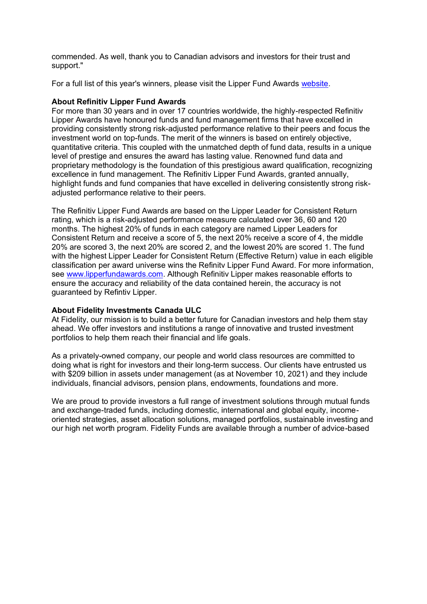commended. As well, thank you to Canadian advisors and investors for their trust and support."

For a full list of this year's winners, please visit the Lipper Fund Awards [website.](http://www.lipperfundawards.com/)

# **About Refinitiv Lipper Fund Awards**

For more than 30 years and in over 17 countries worldwide, the highly-respected Refinitiv Lipper Awards have honoured funds and fund management firms that have excelled in providing consistently strong risk-adjusted performance relative to their peers and focus the investment world on top-funds. The merit of the winners is based on entirely objective, quantitative criteria. This coupled with the unmatched depth of fund data, results in a unique level of prestige and ensures the award has lasting value. Renowned fund data and proprietary methodology is the foundation of this prestigious award qualification, recognizing excellence in fund management. The Refinitiv Lipper Fund Awards, granted annually, highlight funds and fund companies that have excelled in delivering consistently strong riskadjusted performance relative to their peers.

The Refinitiv Lipper Fund Awards are based on the Lipper Leader for Consistent Return rating, which is a risk-adjusted performance measure calculated over 36, 60 and 120 months. The highest 20% of funds in each category are named Lipper Leaders for Consistent Return and receive a score of 5, the next 20% receive a score of 4, the middle 20% are scored 3, the next 20% are scored 2, and the lowest 20% are scored 1. The fund with the highest Lipper Leader for Consistent Return (Effective Return) value in each eligible classification per award universe wins the Refinitv Lipper Fund Award. For more information, see [www.lipperfundawards.com.](http://www.lipperfundawards.com/) Although Refinitiv Lipper makes reasonable efforts to ensure the accuracy and reliability of the data contained herein, the accuracy is not guaranteed by Refintiv Lipper.

# **About Fidelity Investments Canada ULC**

At Fidelity, our mission is to build a better future for Canadian investors and help them stay ahead. We offer investors and institutions a range of innovative and trusted investment portfolios to help them reach their financial and life goals.

As a privately-owned company, our people and world class resources are committed to doing what is right for investors and their long-term success. Our clients have entrusted us with \$209 billion in assets under management (as at November 10, 2021) and they include individuals, financial advisors, pension plans, endowments, foundations and more.

We are proud to provide investors a full range of investment solutions through mutual funds and exchange-traded funds, including domestic, international and global equity, incomeoriented strategies, asset allocation solutions, managed portfolios, sustainable investing and our high net worth program. Fidelity Funds are available through a number of advice-based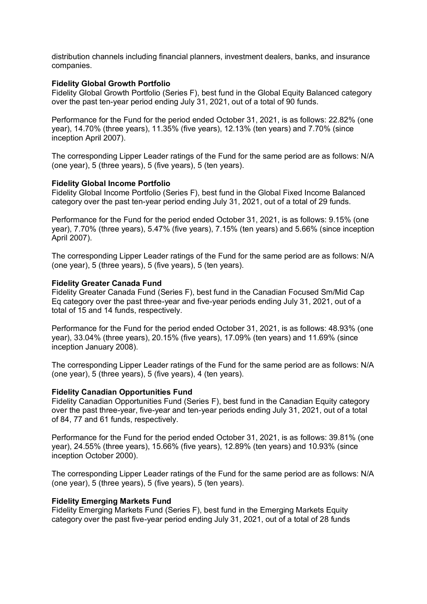distribution channels including financial planners, investment dealers, banks, and insurance companies.

### **Fidelity Global Growth Portfolio**

Fidelity Global Growth Portfolio (Series F), best fund in the Global Equity Balanced category over the past ten-year period ending July 31, 2021, out of a total of 90 funds.

Performance for the Fund for the period ended October 31, 2021, is as follows: 22.82% (one year), 14.70% (three years), 11.35% (five years), 12.13% (ten years) and 7.70% (since inception April 2007).

The corresponding Lipper Leader ratings of the Fund for the same period are as follows: N/A (one year), 5 (three years), 5 (five years), 5 (ten years).

#### **Fidelity Global Income Portfolio**

Fidelity Global Income Portfolio (Series F), best fund in the Global Fixed Income Balanced category over the past ten-year period ending July 31, 2021, out of a total of 29 funds.

Performance for the Fund for the period ended October 31, 2021, is as follows: 9.15% (one year), 7.70% (three years), 5.47% (five years), 7.15% (ten years) and 5.66% (since inception April 2007).

The corresponding Lipper Leader ratings of the Fund for the same period are as follows: N/A (one year), 5 (three years), 5 (five years), 5 (ten years).

#### **Fidelity Greater Canada Fund**

Fidelity Greater Canada Fund (Series F), best fund in the Canadian Focused Sm/Mid Cap Eq category over the past three-year and five-year periods ending July 31, 2021, out of a total of 15 and 14 funds, respectively.

Performance for the Fund for the period ended October 31, 2021, is as follows: 48.93% (one year), 33.04% (three years), 20.15% (five years), 17.09% (ten years) and 11.69% (since inception January 2008).

The corresponding Lipper Leader ratings of the Fund for the same period are as follows: N/A (one year), 5 (three years), 5 (five years), 4 (ten years).

#### **Fidelity Canadian Opportunities Fund**

Fidelity Canadian Opportunities Fund (Series F), best fund in the Canadian Equity category over the past three-year, five-year and ten-year periods ending July 31, 2021, out of a total of 84, 77 and 61 funds, respectively.

Performance for the Fund for the period ended October 31, 2021, is as follows: 39.81% (one year), 24.55% (three years), 15.66% (five years), 12.89% (ten years) and 10.93% (since inception October 2000).

The corresponding Lipper Leader ratings of the Fund for the same period are as follows: N/A (one year), 5 (three years), 5 (five years), 5 (ten years).

#### **Fidelity Emerging Markets Fund**

Fidelity Emerging Markets Fund (Series F), best fund in the Emerging Markets Equity category over the past five-year period ending July 31, 2021, out of a total of 28 funds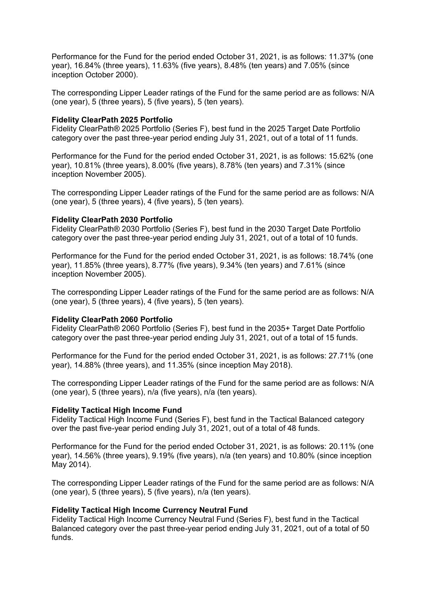Performance for the Fund for the period ended October 31, 2021, is as follows: 11.37% (one year), 16.84% (three years), 11.63% (five years), 8.48% (ten years) and 7.05% (since inception October 2000).

The corresponding Lipper Leader ratings of the Fund for the same period are as follows: N/A (one year), 5 (three years), 5 (five years), 5 (ten years).

### **Fidelity ClearPath 2025 Portfolio**

Fidelity ClearPath® 2025 Portfolio (Series F), best fund in the 2025 Target Date Portfolio category over the past three-year period ending July 31, 2021, out of a total of 11 funds.

Performance for the Fund for the period ended October 31, 2021, is as follows: 15.62% (one year), 10.81% (three years), 8.00% (five years), 8.78% (ten years) and 7.31% (since inception November 2005).

The corresponding Lipper Leader ratings of the Fund for the same period are as follows: N/A (one year), 5 (three years), 4 (five years), 5 (ten years).

#### **Fidelity ClearPath 2030 Portfolio**

Fidelity ClearPath® 2030 Portfolio (Series F), best fund in the 2030 Target Date Portfolio category over the past three-year period ending July 31, 2021, out of a total of 10 funds.

Performance for the Fund for the period ended October 31, 2021, is as follows: 18.74% (one year), 11.85% (three years), 8.77% (five years), 9.34% (ten years) and 7.61% (since inception November 2005).

The corresponding Lipper Leader ratings of the Fund for the same period are as follows: N/A (one year), 5 (three years), 4 (five years), 5 (ten years).

#### **Fidelity ClearPath 2060 Portfolio**

Fidelity ClearPath® 2060 Portfolio (Series F), best fund in the 2035+ Target Date Portfolio category over the past three-year period ending July 31, 2021, out of a total of 15 funds.

Performance for the Fund for the period ended October 31, 2021, is as follows: 27.71% (one year), 14.88% (three years), and 11.35% (since inception May 2018).

The corresponding Lipper Leader ratings of the Fund for the same period are as follows: N/A (one year), 5 (three years), n/a (five years), n/a (ten years).

#### **Fidelity Tactical High Income Fund**

Fidelity Tactical High Income Fund (Series F), best fund in the Tactical Balanced category over the past five-year period ending July 31, 2021, out of a total of 48 funds.

Performance for the Fund for the period ended October 31, 2021, is as follows: 20.11% (one year), 14.56% (three years), 9.19% (five years), n/a (ten years) and 10.80% (since inception May 2014).

The corresponding Lipper Leader ratings of the Fund for the same period are as follows: N/A (one year), 5 (three years), 5 (five years), n/a (ten years).

#### **Fidelity Tactical High Income Currency Neutral Fund**

Fidelity Tactical High Income Currency Neutral Fund (Series F), best fund in the Tactical Balanced category over the past three-year period ending July 31, 2021, out of a total of 50 funds.